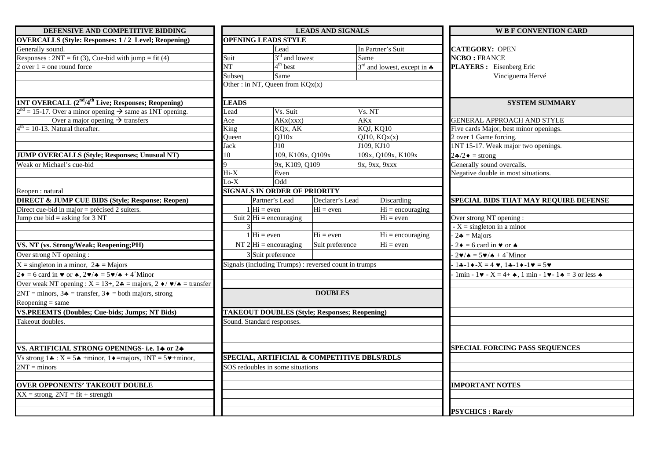| DEFENSIVE AND COMPETITIVE BIDDING                                                                               |                                                                                 |                                        | <b>LEADS AND SIGNALS</b>                              |                       |                                         | <b>W B F CONVENTION CARD</b>                                                                                   |
|-----------------------------------------------------------------------------------------------------------------|---------------------------------------------------------------------------------|----------------------------------------|-------------------------------------------------------|-----------------------|-----------------------------------------|----------------------------------------------------------------------------------------------------------------|
| <b>OVERCALLS</b> (Style: Responses: 1/2 Level; Reopening)                                                       | <b>OPENING LEADS STYLE</b>                                                      |                                        |                                                       |                       |                                         |                                                                                                                |
| Generally sound.                                                                                                |                                                                                 | Lead                                   |                                                       |                       | In Partner's Suit                       | <b>CATEGORY: OPEN</b>                                                                                          |
| Responses : $2NT = fit (3)$ , Cue-bid with jump = fit (4)                                                       | Suit                                                                            |                                        | $3rd$ and lowest                                      | Same                  |                                         | <b>NCBO: FRANCE</b>                                                                                            |
| 2 over $1 =$ one round force                                                                                    | NT                                                                              | $4th$ best                             |                                                       |                       | $3rd$ and lowest, except in $\clubsuit$ | PLAYERS : Eisenberg Eric                                                                                       |
|                                                                                                                 | Subseq                                                                          | Same                                   |                                                       |                       |                                         | Vinciguerra Hervé                                                                                              |
|                                                                                                                 |                                                                                 | Other: in NT, Queen from $KQx(x)$      |                                                       |                       |                                         |                                                                                                                |
| <b>1NT OVERCALL</b> $(2nd/4th$ Live; Responses; Reopening)                                                      | <b>LEADS</b>                                                                    |                                        |                                                       |                       |                                         | <b>SYSTEM SUMMARY</b>                                                                                          |
| $2nd = 15-17$ . Over a minor opening $\rightarrow$ same as 1NT opening.                                         | Lead                                                                            | Vs. Suit                               |                                                       | Vs. NT                |                                         |                                                                                                                |
| Over a major opening $\rightarrow$ transfers                                                                    | Ace                                                                             | AKx(xxx)                               |                                                       | <b>AK<sub>x</sub></b> |                                         | <b>GENERAL APPROACH AND STYLE</b>                                                                              |
| $4th = 10-13$ . Natural therafter.                                                                              | King                                                                            | KQx, AK                                |                                                       |                       | KQJ, KQ10                               | Five cards Major, best minor openings.                                                                         |
|                                                                                                                 | Oueen                                                                           | QJ10x                                  |                                                       |                       | QJ10, KQx(x)                            | 2 over 1 Game forcing.                                                                                         |
|                                                                                                                 | Jack                                                                            | J10                                    |                                                       |                       | J109. KJ10                              | INT 15-17. Weak major two openings.                                                                            |
| <b>JUMP OVERCALLS (Style; Responses; Unusual NT)</b>                                                            | 10                                                                              |                                        | 109, K109x, Q109x                                     |                       | 109x, Q109x, K109x                      | $2\cdot 2\cdot =$ strong                                                                                       |
| Weak or Michael's cue-bid                                                                                       |                                                                                 |                                        | 9x, K109, Q109                                        |                       | 9x, 9xx, 9xxx                           | Generally sound overcalls.                                                                                     |
|                                                                                                                 | Hi-X                                                                            | Even                                   |                                                       |                       |                                         | Negative double in most situations.                                                                            |
|                                                                                                                 | $Lo-X$                                                                          | Odd                                    |                                                       |                       |                                         |                                                                                                                |
| Reopen: natural                                                                                                 |                                                                                 |                                        | <b>SIGNALS IN ORDER OF PRIORITY</b>                   |                       |                                         |                                                                                                                |
| <b>DIRECT &amp; JUMP CUE BIDS (Style; Response; Reopen)</b>                                                     |                                                                                 | Partner's Lead                         | Declarer's Lead                                       |                       | Discarding                              | SPECIAL BIDS THAT MAY REQUIRE DEFENSE                                                                          |
| Direct cue-bid in major = précised 2 suiters.                                                                   |                                                                                 | $1 \vert \text{Hi} = \text{even}$      | $Hi = even$                                           |                       | $Hi = \text{encouraging}$               |                                                                                                                |
| Jump cue bid = asking for $3 \text{ NT}$                                                                        |                                                                                 | Suit $2 \vert Hi = \text{encouraging}$ |                                                       |                       | $Hi = even$                             | Over strong NT opening :                                                                                       |
|                                                                                                                 |                                                                                 |                                        |                                                       |                       |                                         | $-X =$ singleton in a minor                                                                                    |
|                                                                                                                 |                                                                                 | $1 Hi = even$                          | $Hi = even$                                           |                       | $\overline{Hi}$ = encouraging           | $2\clubsuit = \text{Major}$                                                                                    |
| VS. NT (vs. Strong/Weak; Reopening;PH)                                                                          |                                                                                 | NT $2 Hi = \text{encouraging}$         | Suit preference                                       |                       | $Hi = even$                             | $2\bullet = 6$ card in $\bullet$ or $\bullet$                                                                  |
| Over strong NT opening:                                                                                         |                                                                                 | 3 Suit preference                      |                                                       |                       |                                         | $2\blacktriangledown/\spadesuit = 5\blacktriangledown/\spadesuit + 4^+$ Minor                                  |
| $X =$ singleton in a minor, $2\clubsuit =$ Majors                                                               |                                                                                 |                                        | Signals (including Trumps) : reversed count in trumps |                       |                                         | $1 - 1 + 1 = 4$ v, $1 - 1 - 1 = 5$                                                                             |
| $2\bullet$ = 6 card in $\bullet$ or $\bullet$ , $2\bullet/\bullet$ = 5 $\bullet/\bullet$ + 4 <sup>+</sup> Minor |                                                                                 |                                        |                                                       |                       |                                         | 1min - 1 $\mathbf{v}$ - X = 4+ $\mathbf{A}$ , 1 min - 1 $\mathbf{v}$ - 1 $\mathbf{A}$ = 3 or less $\mathbf{A}$ |
| Over weak NT opening : $X = 13+$ , $2\bullet =$ majors, $2 \bullet / \bullet / \bullet =$ transfer              |                                                                                 |                                        |                                                       |                       |                                         |                                                                                                                |
| $2NT = \text{minors}, 3\clubsuit = \text{transfer}, 3\spadesuit = \text{both majors}, \text{strong}$            |                                                                                 |                                        | <b>DOUBLES</b>                                        |                       |                                         |                                                                                                                |
| Reopening $=$ same                                                                                              |                                                                                 |                                        |                                                       |                       |                                         |                                                                                                                |
| <b>VS.PREEMTS (Doubles; Cue-bids; Jumps; NT Bids)</b>                                                           |                                                                                 |                                        | <b>TAKEOUT DOUBLES (Style; Responses; Reopening)</b>  |                       |                                         |                                                                                                                |
| Takeout doubles.                                                                                                | Sound. Standard responses.                                                      |                                        |                                                       |                       |                                         |                                                                                                                |
|                                                                                                                 |                                                                                 |                                        |                                                       |                       |                                         |                                                                                                                |
| VS. ARTIFICIAL STRONG OPENINGS- i.e. 14 or 24                                                                   |                                                                                 |                                        |                                                       |                       |                                         | <b>SPECIAL FORCING PASS SEQUENCES</b>                                                                          |
| Vs strong $1 \cdot x = 5 \cdot \text{+minor}$ , $1 \cdot \text{=major}$ , $1NT = 5 \cdot \text{+minor}$ ,       |                                                                                 |                                        |                                                       |                       |                                         |                                                                                                                |
| $2NT = minors$                                                                                                  | SPECIAL, ARTIFICIAL & COMPETITIVE DBLS/RDLS<br>SOS redoubles in some situations |                                        |                                                       |                       |                                         |                                                                                                                |
|                                                                                                                 |                                                                                 |                                        |                                                       |                       |                                         |                                                                                                                |
| <b>OVER OPPONENTS' TAKEOUT DOUBLE</b>                                                                           |                                                                                 |                                        |                                                       |                       |                                         | <b>IMPORTANT NOTES</b>                                                                                         |
| $XX =$ strong, $2NT = fit +$ strength                                                                           |                                                                                 |                                        |                                                       |                       |                                         |                                                                                                                |
|                                                                                                                 |                                                                                 |                                        |                                                       |                       |                                         |                                                                                                                |
|                                                                                                                 |                                                                                 |                                        |                                                       |                       |                                         | <b>PSYCHICS: Rarely</b>                                                                                        |